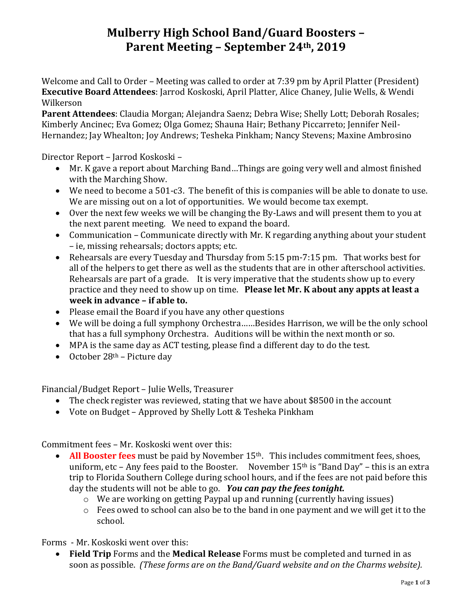# **Mulberry High School Band/Guard Boosters – Parent Meeting – September 24th, 2019**

Welcome and Call to Order – Meeting was called to order at 7:39 pm by April Platter (President) **Executive Board Attendees**: Jarrod Koskoski, April Platter, Alice Chaney, Julie Wells, & Wendi Wilkerson

**Parent Attendees**: Claudia Morgan; Alejandra Saenz; Debra Wise; Shelly Lott; Deborah Rosales; Kimberly Ancinec; Eva Gomez; Olga Gomez; Shauna Hair; Bethany Piccarreto; Jennifer Neil-Hernandez; Jay Whealton; Joy Andrews; Tesheka Pinkham; Nancy Stevens; Maxine Ambrosino

Director Report – Jarrod Koskoski –

- Mr. K gave a report about Marching Band...Things are going very well and almost finished with the Marching Show.
- We need to become a 501-c3. The benefit of this is companies will be able to donate to use. We are missing out on a lot of opportunities. We would become tax exempt.
- Over the next few weeks we will be changing the By-Laws and will present them to you at the next parent meeting. We need to expand the board.
- Communication Communicate directly with Mr. K regarding anything about your student – ie, missing rehearsals; doctors appts; etc.
- Rehearsals are every Tuesday and Thursday from 5:15 pm-7:15 pm. That works best for all of the helpers to get there as well as the students that are in other afterschool activities. Rehearsals are part of a grade. It is very imperative that the students show up to every practice and they need to show up on time. **Please let Mr. K about any appts at least a week in advance – if able to.**
- Please email the Board if you have any other questions
- We will be doing a full symphony Orchestra……Besides Harrison, we will be the only school that has a full symphony Orchestra. Auditions will be within the next month or so.
- MPA is the same day as ACT testing, please find a different day to do the test.
- October  $28<sup>th</sup>$  Picture day

Financial/Budget Report – Julie Wells, Treasurer

- The check register was reviewed, stating that we have about \$8500 in the account
- Vote on Budget Approved by Shelly Lott & Tesheka Pinkham

Commitment fees – Mr. Koskoski went over this:

- **All Booster fees** must be paid by November 15<sup>th</sup>. This includes commitment fees, shoes, uniform, etc – Any fees paid to the Booster. November  $15<sup>th</sup>$  is "Band Day" – this is an extra trip to Florida Southern College during school hours, and if the fees are not paid before this day the students will not be able to go. *You can pay the fees tonight.* 
	- o We are working on getting Paypal up and running (currently having issues)
	- o Fees owed to school can also be to the band in one payment and we will get it to the school.

Forms - Mr. Koskoski went over this:

• **Field Trip** Forms and the **Medical Release** Forms must be completed and turned in as soon as possible. *(These forms are on the Band/Guard website and on the Charms website).*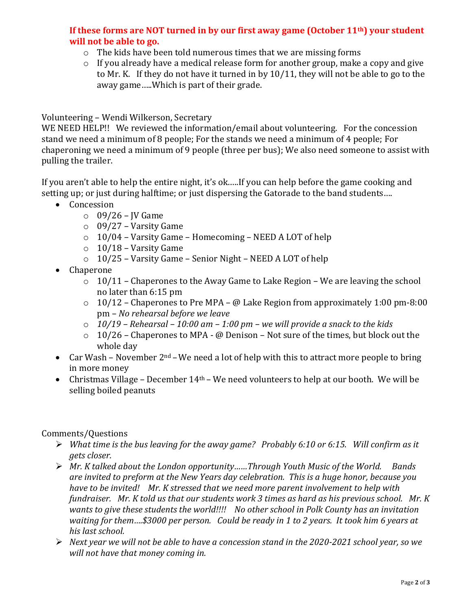## **If these forms are NOT turned in by our first away game (October 11th) your student will not be able to go.**

- o The kids have been told numerous times that we are missing forms
- o If you already have a medical release form for another group, make a copy and give to Mr. K. If they do not have it turned in by 10/11, they will not be able to go to the away game…..Which is part of their grade.

### Volunteering – Wendi Wilkerson, Secretary

WE NEED HELP!! We reviewed the information/email about volunteering. For the concession stand we need a minimum of 8 people; For the stands we need a minimum of 4 people; For chaperoning we need a minimum of 9 people (three per bus); We also need someone to assist with pulling the trailer.

If you aren't able to help the entire night, it's ok.….If you can help before the game cooking and setting up; or just during halftime; or just dispersing the Gatorade to the band students….

- Concession
	- $\circ$  09/26 JV Game
	- $\circ$  09/27 Varsity Game
	- o 10/04 Varsity Game Homecoming NEED A LOT of help
	- $\circ$  10/18 Varsity Game
	- o 10/25 Varsity Game Senior Night NEED A LOT of help
- Chaperone
	- $\circ$  10/11 Chaperones to the Away Game to Lake Region We are leaving the school no later than 6:15 pm
	- $\circ$  10/12 Chaperones to Pre MPA @ Lake Region from approximately 1:00 pm-8:00 pm – *No rehearsal before we leave*
	- o *10/19 – Rehearsal – 10:00 am – 1:00 pm – we will provide a snack to the kids*
	- $\circ$  10/26 Chaperones to MPA @ Denison Not sure of the times, but block out the whole day
- Car Wash November  $2^{nd}$  We need a lot of help with this to attract more people to bring in more money
- Christmas Village December  $14<sup>th</sup>$  We need volunteers to help at our booth. We will be selling boiled peanuts

### Comments/Questions

- ➢ *What time is the bus leaving for the away game? Probably 6:10 or 6:15. Will confirm as it gets closer.*
- ➢ *Mr. K talked about the London opportunity……Through Youth Music of the World. Bands are invited to preform at the New Years day celebration. This is a huge honor, because you have to be invited! Mr. K stressed that we need more parent involvement to help with fundraiser. Mr. K told us that our students work 3 times as hard as his previous school. Mr. K wants to give these students the world!!!! No other school in Polk County has an invitation waiting for them….\$3000 per person. Could be ready in 1 to 2 years. It took him 6 years at his last school.*
- ➢ *Next year we will not be able to have a concession stand in the 2020-2021 school year, so we will not have that money coming in.*